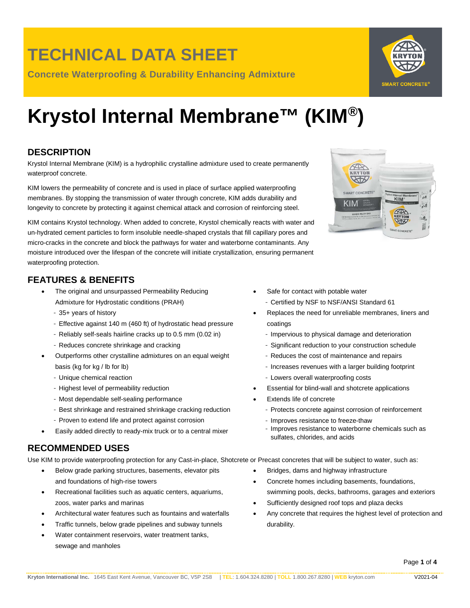**Concrete Waterproofing & Durability Enhancing Admixture**

# **Krystol Internal Membrane™ (KIM®)**

### **DESCRIPTION**

Krystol Internal Membrane (KIM) is a hydrophilic crystalline admixture used to create permanently waterproof concrete.

KIM lowers the permeability of concrete and is used in place of surface applied waterproofing membranes. By stopping the transmission of water through concrete, KIM adds durability and longevity to concrete by protecting it against chemical attack and corrosion of reinforcing steel.

KIM contains Krystol technology. When added to concrete, Krystol chemically reacts with water and un-hydrated cement particles to form insoluble needle-shaped crystals that fill capillary pores and micro-cracks in the concrete and block the pathways for water and waterborne contaminants. Any moisture introduced over the lifespan of the concrete will initiate crystallization, ensuring permanent waterproofing protection.

### **FEATURES & BENEFITS**

- The original and unsurpassed Permeability Reducing Admixture for Hydrostatic conditions (PRAH)
	- 35+ years of history
	- Effective against 140 m (460 ft) of hydrostatic head pressure
	- Reliably self-seals hairline cracks up to 0.5 mm (0.02 in)
	- Reduces concrete shrinkage and cracking
- Outperforms other crystalline admixtures on an equal weight basis (kg for kg / lb for lb)
	- Unique chemical reaction
	- Highest level of permeability reduction
	- Most dependable self-sealing performance
	- Best shrinkage and restrained shrinkage cracking reduction
	- Proven to extend life and protect against corrosion
- Easily added directly to ready-mix truck or to a central mixer

### **RECOMMENDED USES**

Use KIM to provide waterproofing protection for any Cast-in-place, Shotcrete or Precast concretes that will be subject to water, such as:

- Below grade parking structures, basements, elevator pits and foundations of high-rise towers
- Recreational facilities such as aquatic centers, aquariums, zoos, water parks and marinas
- Architectural water features such as fountains and waterfalls
- Traffic tunnels, below grade pipelines and subway tunnels
- Water containment reservoirs, water treatment tanks, sewage and manholes
- Safe for contact with potable water
	- Certified by NSF to NSF/ANSI Standard 61
- Replaces the need for unreliable membranes, liners and coatings
	- Impervious to physical damage and deterioration
	- Significant reduction to your construction schedule
	- Reduces the cost of maintenance and repairs
	- Increases revenues with a larger building footprint
- Lowers overall waterproofing costs
- Essential for blind-wall and shotcrete applications
- Extends life of concrete
	- Protects concrete against corrosion of reinforcement
	- Improves resistance to freeze-thaw
	- Improves resistance to waterborne chemicals such as sulfates, chlorides, and acids
- Bridges, dams and highway infrastructure
- Concrete homes including basements, foundations, swimming pools, decks, bathrooms, garages and exteriors
- Sufficiently designed roof tops and plaza decks
- Any concrete that requires the highest level of protection and durability.



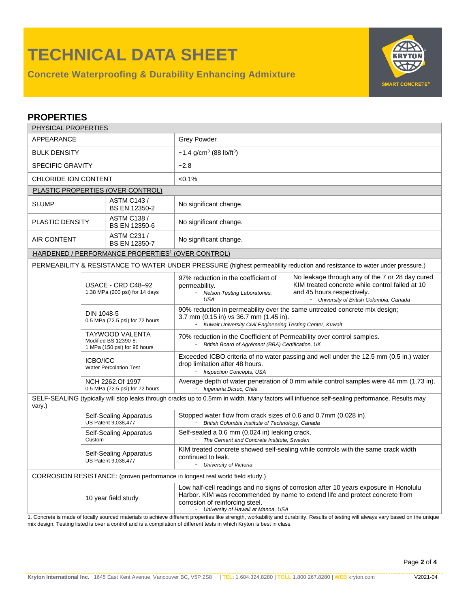**Concrete Waterproofing & Durability Enhancing Admixture**



| <b>PROPERTIES</b>                                                                                                                                        |                                                                                                                             |                                                               |                                                                                                                                                                                                                                                 |                                                                                                                                                                              |  |  |  |
|----------------------------------------------------------------------------------------------------------------------------------------------------------|-----------------------------------------------------------------------------------------------------------------------------|---------------------------------------------------------------|-------------------------------------------------------------------------------------------------------------------------------------------------------------------------------------------------------------------------------------------------|------------------------------------------------------------------------------------------------------------------------------------------------------------------------------|--|--|--|
| PHYSICAL PROPERTIES                                                                                                                                      |                                                                                                                             |                                                               |                                                                                                                                                                                                                                                 |                                                                                                                                                                              |  |  |  |
| APPEARANCE                                                                                                                                               |                                                                                                                             |                                                               | <b>Grey Powder</b>                                                                                                                                                                                                                              |                                                                                                                                                                              |  |  |  |
| <b>BULK DENSITY</b>                                                                                                                                      |                                                                                                                             |                                                               | ~1.4 g/cm <sup>3</sup> (88 lb/ft <sup>3</sup> )                                                                                                                                                                                                 |                                                                                                                                                                              |  |  |  |
| <b>SPECIFIC GRAVITY</b>                                                                                                                                  |                                                                                                                             |                                                               | $-2.8$                                                                                                                                                                                                                                          |                                                                                                                                                                              |  |  |  |
| CHLORIDE ION CONTENT                                                                                                                                     |                                                                                                                             |                                                               | $< 0.1\%$                                                                                                                                                                                                                                       |                                                                                                                                                                              |  |  |  |
| PLASTIC PROPERTIES (OVER CONTROL)                                                                                                                        |                                                                                                                             |                                                               |                                                                                                                                                                                                                                                 |                                                                                                                                                                              |  |  |  |
| <b>SLUMP</b>                                                                                                                                             |                                                                                                                             | <b>ASTM C143 /</b><br><b>BS EN 12350-2</b>                    | No significant change.                                                                                                                                                                                                                          |                                                                                                                                                                              |  |  |  |
| <b>PLASTIC DENSITY</b>                                                                                                                                   |                                                                                                                             | <b>ASTM C138 /</b><br>BS EN 12350-6                           | No significant change.                                                                                                                                                                                                                          |                                                                                                                                                                              |  |  |  |
| ASTM C231 /<br><b>AIR CONTENT</b><br>BS EN 12350-7                                                                                                       |                                                                                                                             |                                                               | No significant change.                                                                                                                                                                                                                          |                                                                                                                                                                              |  |  |  |
|                                                                                                                                                          |                                                                                                                             | HARDENED / PERFORMANCE PROPERTIES <sup>1</sup> (OVER CONTROL) |                                                                                                                                                                                                                                                 |                                                                                                                                                                              |  |  |  |
|                                                                                                                                                          |                                                                                                                             |                                                               |                                                                                                                                                                                                                                                 | PERMEABILITY & RESISTANCE TO WATER UNDER PRESSURE (highest permeability reduction and resistance to water under pressure.)                                                   |  |  |  |
|                                                                                                                                                          | USACE - CRD C48-92<br>1.38 MPa (200 psi) for 14 days                                                                        |                                                               | 97% reduction in the coefficient of<br>permeability.<br>- Nelson Testing Laboratories,<br><b>USA</b>                                                                                                                                            | No leakage through any of the 7 or 28 day cured<br>KIM treated concrete while control failed at 10<br>and 45 hours respectively.<br>- University of British Columbia, Canada |  |  |  |
|                                                                                                                                                          | DIN 1048-5<br>0.5 MPa (72.5 psi) for 72 hours                                                                               |                                                               | 90% reduction in permeability over the same untreated concrete mix design;<br>3.7 mm (0.15 in) vs 36.7 mm (1.45 in).<br>- Kuwait University Civil Engineering Testing Center, Kuwait                                                            |                                                                                                                                                                              |  |  |  |
|                                                                                                                                                          | TAYWOOD VALENTA<br>Modified BS 12390-8:<br>1 MPa (150 psi) for 96 hours<br><b>ICBO/ICC</b><br><b>Water Percolation Test</b> |                                                               | 70% reduction in the Coefficient of Permeability over control samples.<br>- British Board of Agrément (BBA) Certification, UK                                                                                                                   |                                                                                                                                                                              |  |  |  |
|                                                                                                                                                          |                                                                                                                             |                                                               | Exceeded ICBO criteria of no water passing and well under the 12.5 mm (0.5 in.) water<br>drop limitation after 48 hours.<br>- Inspection Concepts, USA                                                                                          |                                                                                                                                                                              |  |  |  |
|                                                                                                                                                          | NCH 2262.Of 1997<br>0.5 MPa (72.5 psi) for 72 hours                                                                         |                                                               | - Ingeneria Dictuc, Chile                                                                                                                                                                                                                       | Average depth of water penetration of 0 mm while control samples were 44 mm (1.73 in).                                                                                       |  |  |  |
| SELF-SEALING (typically will stop leaks through cracks up to 0.5mm in width. Many factors will influence self-sealing performance. Results may<br>vary.) |                                                                                                                             |                                                               |                                                                                                                                                                                                                                                 |                                                                                                                                                                              |  |  |  |
|                                                                                                                                                          | Self-Sealing Apparatus<br>US Patent 9,038,477                                                                               |                                                               | Stopped water flow from crack sizes of 0.6 and 0.7mm (0.028 in).<br>British Columbia Institute of Technology, Canada                                                                                                                            |                                                                                                                                                                              |  |  |  |
|                                                                                                                                                          | Self-Sealing Apparatus<br>Custom                                                                                            |                                                               | Self-sealed a 0.6 mm (0.024 in) leaking crack.<br>- The Cement and Concrete Institute, Sweden                                                                                                                                                   |                                                                                                                                                                              |  |  |  |
|                                                                                                                                                          | Self-Sealing Apparatus<br>US Patent 9,038,477                                                                               |                                                               | KIM treated concrete showed self-sealing while controls with the same crack width<br>continued to leak.<br>- University of Victoria                                                                                                             |                                                                                                                                                                              |  |  |  |
|                                                                                                                                                          |                                                                                                                             |                                                               | CORROSION RESISTANCE: (proven performance in longest real world field study.)                                                                                                                                                                   |                                                                                                                                                                              |  |  |  |
| 10 year field study                                                                                                                                      |                                                                                                                             |                                                               | Low half-cell readings and no signs of corrosion after 10 years exposure in Honolulu<br>Harbor. KIM was recommended by name to extend life and protect concrete from<br>corrosion of reinforcing steel.<br>- University of Hawaii at Manoa, USA |                                                                                                                                                                              |  |  |  |

1. Concrete is made of locally sourced materials to achieve different properties like strength, workability and durability. Results of testing will always vary based on the unique mix design. Testing listed is over a control and is a compilation of different tests in which Kryton is best in class.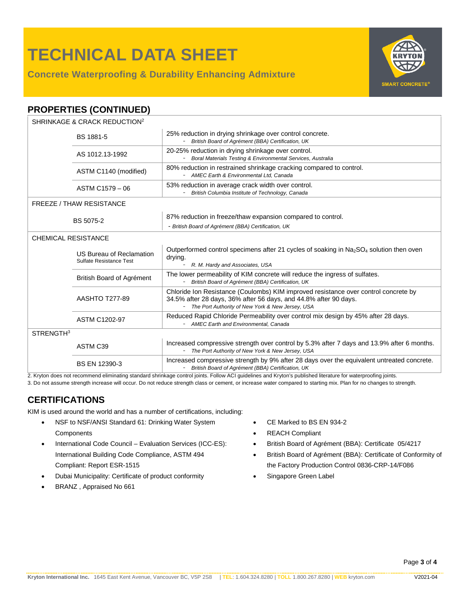**Concrete Waterproofing & Durability Enhancing Admixture**



### **PROPERTIES (CONTINUED)**

| SHRINKAGE & CRACK REDUCTION <sup>2</sup> |                                                     |                                                                                                                                                                                                               |  |  |  |
|------------------------------------------|-----------------------------------------------------|---------------------------------------------------------------------------------------------------------------------------------------------------------------------------------------------------------------|--|--|--|
|                                          | BS 1881-5                                           | 25% reduction in drying shrinkage over control concrete.<br>- British Board of Agrément (BBA) Certification, UK                                                                                               |  |  |  |
|                                          | AS 1012.13-1992                                     | 20-25% reduction in drying shrinkage over control.<br>Boral Materials Testing & Environmental Services, Australia                                                                                             |  |  |  |
|                                          | ASTM C1140 (modified)                               | 80% reduction in restrained shrinkage cracking compared to control.<br>- AMEC Earth & Environmental Ltd, Canada                                                                                               |  |  |  |
|                                          | ASTM C1579 - 06                                     | 53% reduction in average crack width over control.<br>British Columbia Institute of Technology, Canada                                                                                                        |  |  |  |
| <b>FREEZE / THAW RESISTANCE</b>          |                                                     |                                                                                                                                                                                                               |  |  |  |
|                                          | BS 5075-2                                           | 87% reduction in freeze/thaw expansion compared to control.<br>- British Board of Agrément (BBA) Certification, UK                                                                                            |  |  |  |
| <b>CHEMICAL RESISTANCE</b>               |                                                     |                                                                                                                                                                                                               |  |  |  |
|                                          | US Bureau of Reclamation<br>Sulfate Resistance Test | Outperformed control specimens after 21 cycles of soaking in Na <sub>2</sub> SO <sub>4</sub> solution then oven<br>drying.<br>R. M. Hardy and Associates, USA                                                 |  |  |  |
|                                          | British Board of Agrément                           | The lower permeability of KIM concrete will reduce the ingress of sulfates.<br>- British Board of Agrément (BBA) Certification, UK                                                                            |  |  |  |
|                                          | <b>AASHTO T277-89</b>                               | Chloride Ion Resistance (Coulombs) KIM improved resistance over control concrete by<br>34.5% after 28 days, 36% after 56 days, and 44.8% after 90 days.<br>- The Port Authority of New York & New Jersey, USA |  |  |  |
|                                          | <b>ASTM C1202-97</b>                                | Reduced Rapid Chloride Permeability over control mix design by 45% after 28 days.<br>AMEC Earth and Environmental, Canada                                                                                     |  |  |  |
| STRENGTH <sup>3</sup>                    |                                                     |                                                                                                                                                                                                               |  |  |  |
|                                          | ASTM C39                                            | Increased compressive strength over control by 5.3% after 7 days and 13.9% after 6 months.<br>- The Port Authority of New York & New Jersey, USA                                                              |  |  |  |
|                                          | BS EN 12390-3                                       | Increased compressive strength by 9% after 28 days over the equivalent untreated concrete.<br>- British Board of Agrément (BBA) Certification, UK                                                             |  |  |  |

2. Kryton does not recommend eliminating standard shrinkage control joints. Follow ACI guidelines and Kryton's published literature for waterproofing joints.

3. Do not assume strength increase will occur. Do not reduce strength class or cement, or increase water compared to starting mix. Plan for no changes to strength.

### **CERTIFICATIONS**

KIM is used around the world and has a number of certifications, including:

- NSF to NSF/ANSI Standard 61: Drinking Water System **Components**
- International Code Council Evaluation Services (ICC-ES): International Building Code Compliance, ASTM 494 Compliant: Report ESR-1515
- Dubai Municipality: Certificate of product conformity
- BRANZ , Appraised No 661
- CE Marked to BS EN 934-2
- REACH Compliant
- British Board of Agrément (BBA): Certificate 05/4217
- British Board of Agrément (BBA): Certificate of Conformity of the Factory Production Control 0836-CRP-14/F086
- Singapore Green Label